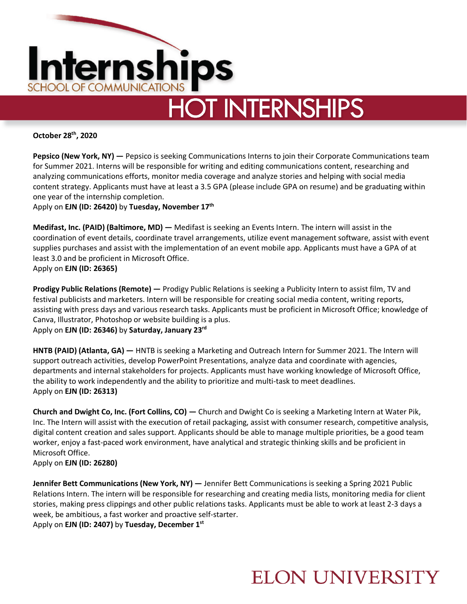

# **HOT INTERNSHIPS**

**October 28th, 2020**

**Pepsico (New York, NY) —** Pepsico is seeking Communications Interns to join their Corporate Communications team for Summer 2021. Interns will be responsible for writing and editing communications content, researching and analyzing communications efforts, monitor media coverage and analyze stories and helping with social media content strategy. Applicants must have at least a 3.5 GPA (please include GPA on resume) and be graduating within one year of the internship completion.

Apply on **EJN (ID: 26420)** by **Tuesday, November 17th**

**Medifast, Inc. (PAID) (Baltimore, MD) —** Medifast is seeking an Events Intern. The intern will assist in the coordination of event details, coordinate travel arrangements, utilize event management software, assist with event supplies purchases and assist with the implementation of an event mobile app. Applicants must have a GPA of at least 3.0 and be proficient in Microsoft Office. Apply on **EJN (ID: 26365)** 

**Prodigy Public Relations (Remote) —** Prodigy Public Relations is seeking a Publicity Intern to assist film, TV and festival publicists and marketers. Intern will be responsible for creating social media content, writing reports, assisting with press days and various research tasks. Applicants must be proficient in Microsoft Office; knowledge of Canva, Illustrator, Photoshop or website building is a plus. Apply on **EJN (ID: 26346)** by **Saturday, January 23rd**

**HNTB (PAID) (Atlanta, GA) —** HNTB is seeking a Marketing and Outreach Intern for Summer 2021. The Intern will support outreach activities, develop PowerPoint Presentations, analyze data and coordinate with agencies, departments and internal stakeholders for projects. Applicants must have working knowledge of Microsoft Office, the ability to work independently and the ability to prioritize and multi-task to meet deadlines. Apply on **EJN (ID: 26313)** 

**Church and Dwight Co, Inc. (Fort Collins, CO) —** Church and Dwight Co is seeking a Marketing Intern at Water Pik, Inc. The Intern will assist with the execution of retail packaging, assist with consumer research, competitive analysis, digital content creation and sales support. Applicants should be able to manage multiple priorities, be a good team worker, enjoy a fast-paced work environment, have analytical and strategic thinking skills and be proficient in Microsoft Office.

Apply on **EJN (ID: 26280)** 

**Jennifer Bett Communications (New York, NY) —** Jennifer Bett Communications is seeking a Spring 2021 Public Relations Intern. The intern will be responsible for researching and creating media lists, monitoring media for client stories, making press clippings and other public relations tasks. Applicants must be able to work at least 2-3 days a week, be ambitious, a fast worker and proactive self-starter. Apply on **EJN (ID: 2407)** by **Tuesday, December 1st**

### **ELON UNIVERSITY**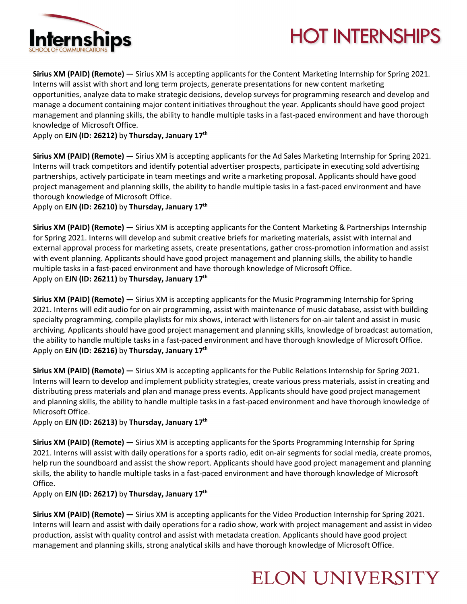

## **HOT INTERNSHIPS**

**Sirius XM (PAID) (Remote) —** Sirius XM is accepting applicants for the Content Marketing Internship for Spring 2021. Interns will assist with short and long term projects, generate presentations for new content marketing opportunities, analyze data to make strategic decisions, develop surveys for programming research and develop and manage a document containing major content initiatives throughout the year. Applicants should have good project management and planning skills, the ability to handle multiple tasks in a fast-paced environment and have thorough knowledge of Microsoft Office.

Apply on **EJN (ID: 26212)** by **Thursday, January 17th**

**Sirius XM (PAID) (Remote) —** Sirius XM is accepting applicants for the Ad Sales Marketing Internship for Spring 2021. Interns will track competitors and identify potential advertiser prospects, participate in executing sold advertising partnerships, actively participate in team meetings and write a marketing proposal. Applicants should have good project management and planning skills, the ability to handle multiple tasks in a fast-paced environment and have thorough knowledge of Microsoft Office.

Apply on **EJN (ID: 26210)** by **Thursday, January 17th**

**Sirius XM (PAID) (Remote) —** Sirius XM is accepting applicants for the Content Marketing & Partnerships Internship for Spring 2021. Interns will develop and submit creative briefs for marketing materials, assist with internal and external approval process for marketing assets, create presentations, gather cross-promotion information and assist with event planning. Applicants should have good project management and planning skills, the ability to handle multiple tasks in a fast-paced environment and have thorough knowledge of Microsoft Office. Apply on **EJN (ID: 26211)** by **Thursday, January 17th**

**Sirius XM (PAID) (Remote) —** Sirius XM is accepting applicants for the Music Programming Internship for Spring 2021. Interns will edit audio for on air programming, assist with maintenance of music database, assist with building specialty programming, compile playlists for mix shows, interact with listeners for on-air talent and assist in music archiving. Applicants should have good project management and planning skills, knowledge of broadcast automation, the ability to handle multiple tasks in a fast-paced environment and have thorough knowledge of Microsoft Office. Apply on **EJN (ID: 26216)** by **Thursday, January 17th**

**Sirius XM (PAID) (Remote) —** Sirius XM is accepting applicants for the Public Relations Internship for Spring 2021. Interns will learn to develop and implement publicity strategies, create various press materials, assist in creating and distributing press materials and plan and manage press events. Applicants should have good project management and planning skills, the ability to handle multiple tasks in a fast-paced environment and have thorough knowledge of Microsoft Office.

Apply on **EJN (ID: 26213)** by **Thursday, January 17th**

**Sirius XM (PAID) (Remote) —** Sirius XM is accepting applicants for the Sports Programming Internship for Spring 2021. Interns will assist with daily operations for a sports radio, edit on-air segments for social media, create promos, help run the soundboard and assist the show report. Applicants should have good project management and planning skills, the ability to handle multiple tasks in a fast-paced environment and have thorough knowledge of Microsoft Office.

Apply on **EJN (ID: 26217)** by **Thursday, January 17th**

**Sirius XM (PAID) (Remote) —** Sirius XM is accepting applicants for the Video Production Internship for Spring 2021. Interns will learn and assist with daily operations for a radio show, work with project management and assist in video production, assist with quality control and assist with metadata creation. Applicants should have good project management and planning skills, strong analytical skills and have thorough knowledge of Microsoft Office.

### **ELON UNIVERSITY**